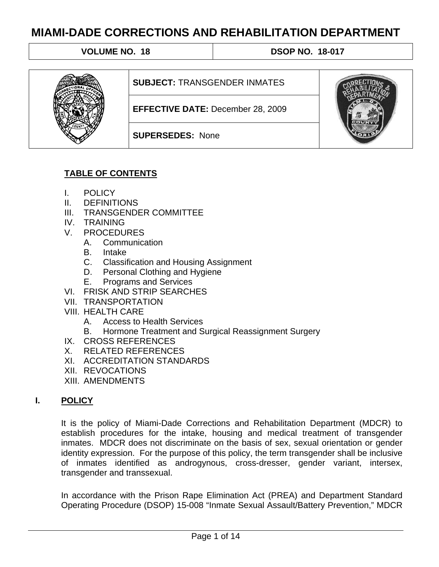**VOLUME NO. 18 18 18:00 18:00 18:00 18:00 18:00 18:00 18:00 18:00 18:00 18:00 18:00 18:00 18:00 18:00 18:00 18:00 18:00 18:00 18:00 18:00 18:00 18:00 18:00 18:00 18:00 18:00 18:00 18:00 18:00 18:00 18:00 18:00 18:00 18:00** 



## **TABLE OF CONTENTS**

- I. POLICY
- II. DEFINITIONS
- III. TRANSGENDER COMMITTEE
- IV. TRAINING
- V. PROCEDURES
	- A. Communication
	- B. Intake
	- C. Classification and Housing Assignment
	- D. Personal Clothing and Hygiene
	- E. Programs and Services
- VI. FRISK AND STRIP SEARCHES
- VII. TRANSPORTATION
- VIII. HEALTH CARE
	- A. Access to Health Services
	- B. Hormone Treatment and Surgical Reassignment Surgery
- IX. CROSS REFERENCES
- X. RELATED REFERENCES
- XI. ACCREDITATION STANDARDS
- XII. REVOCATIONS
- XIII. AMENDMENTS

# **I. POLICY**

It is the policy of Miami-Dade Corrections and Rehabilitation Department (MDCR) to establish procedures for the intake, housing and medical treatment of transgender inmates. MDCR does not discriminate on the basis of sex, sexual orientation or gender identity expression. For the purpose of this policy, the term transgender shall be inclusive of inmates identified as androgynous, cross-dresser, gender variant, intersex, transgender and transsexual.

In accordance with the Prison Rape Elimination Act (PREA) and Department Standard Operating Procedure (DSOP) 15-008 "Inmate Sexual Assault/Battery Prevention," MDCR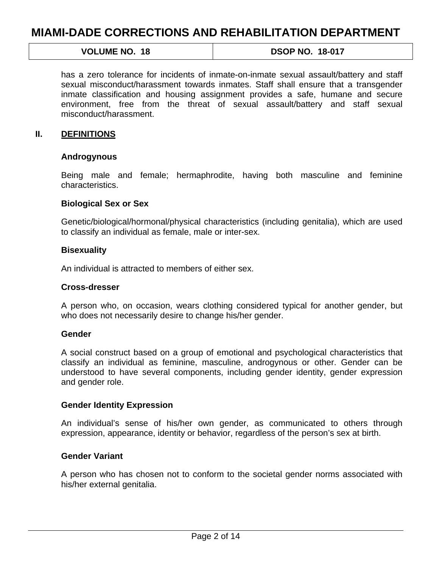# **VOLUME NO. 18 18 18:00 18:00 18:00 18:00 18:00 18:00 18:00 18:00 18:00 18:00 18:00 18:00 18:00 18:00 18:00 18:00 18:00 18:00 18:00 18:00 18:00 18:00 18:00 18:00 18:00 18:00 18:00 18:00 18:00 18:00 18:00 18:00 18:00 18:00**

has a zero tolerance for incidents of inmate-on-inmate sexual assault/battery and staff sexual misconduct/harassment towards inmates. Staff shall ensure that a transgender inmate classification and housing assignment provides a safe, humane and secure environment, free from the threat of sexual assault/battery and staff sexual misconduct/harassment.

#### **II. DEFINITIONS**

#### **Androgynous**

Being male and female; hermaphrodite, having both masculine and feminine characteristics.

#### **Biological Sex or Sex**

Genetic/biological/hormonal/physical characteristics (including genitalia), which are used to classify an individual as female, male or inter-sex.

#### **Bisexuality**

An individual is attracted to members of either sex.

#### **Cross-dresser**

A person who, on occasion, wears clothing considered typical for another gender, but who does not necessarily desire to change his/her gender.

#### **Gender**

A social construct based on a group of emotional and psychological characteristics that classify an individual as feminine, masculine, androgynous or other. Gender can be understood to have several components, including gender identity, gender expression and gender role.

#### **Gender Identity Expression**

An individual's sense of his/her own gender, as communicated to others through expression, appearance, identity or behavior, regardless of the person's sex at birth.

#### **Gender Variant**

A person who has chosen not to conform to the societal gender norms associated with his/her external genitalia.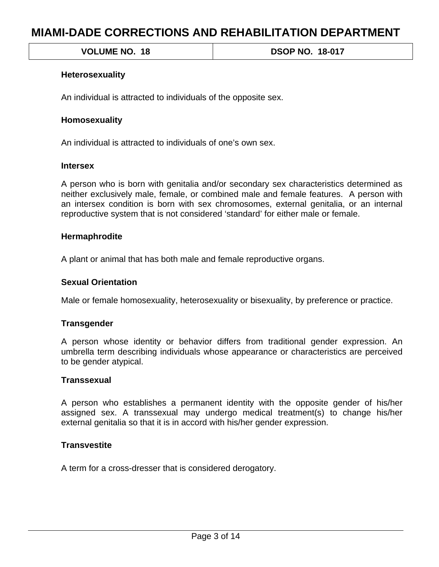**VOLUME NO. 18 18 18:00 18:00 18:00 18:00 18:00 18:00 18:00 18:00 18:00 18:00 18:00 18:00 18:00 18:00 18:00 18:00 18:00 18:00 18:00 18:00 18:00 18:00 18:00 18:00 18:00 18:00 18:00 18:00 18:00 18:00 18:00 18:00 18:00 18:00** 

## **Heterosexuality**

An individual is attracted to individuals of the opposite sex.

### **Homosexuality**

An individual is attracted to individuals of one's own sex.

### **Intersex**

A person who is born with genitalia and/or secondary sex characteristics determined as neither exclusively male, female, or combined male and female features. A person with an intersex condition is born with sex chromosomes, external genitalia, or an internal reproductive system that is not considered 'standard' for either male or female.

### **Hermaphrodite**

A plant or animal that has both male and female reproductive organs.

### **Sexual Orientation**

Male or female homosexuality, heterosexuality or bisexuality, by preference or practice.

### **Transgender**

A person whose identity or behavior differs from traditional gender expression. An umbrella term describing individuals whose appearance or characteristics are perceived to be gender atypical.

### **Transsexual**

A person who establishes a permanent identity with the opposite gender of his/her assigned sex. A transsexual may undergo medical treatment(s) to change his/her external genitalia so that it is in accord with his/her gender expression.

## **Transvestite**

A term for a cross-dresser that is considered derogatory.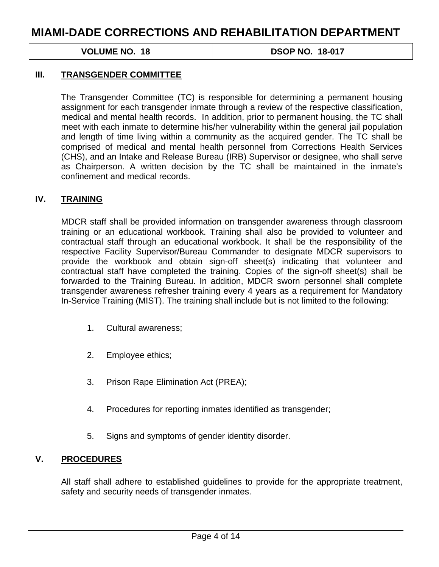**VOLUME NO. 18 18 18:00 18:00 18:00 18:00 18:00 18:00 18:00 18:00 18:00 18:00 18:00 18:00 18:00 18:00 18:00 18:00 18:00 18:00 18:00 18:00 18:00 18:00 18:00 18:00 18:00 18:00 18:00 18:00 18:00 18:00 18:00 18:00 18:00 18:00** 

#### **III. TRANSGENDER COMMITTEE**

The Transgender Committee (TC) is responsible for determining a permanent housing assignment for each transgender inmate through a review of the respective classification, medical and mental health records. In addition, prior to permanent housing, the TC shall meet with each inmate to determine his/her vulnerability within the general jail population and length of time living within a community as the acquired gender. The TC shall be comprised of medical and mental health personnel from Corrections Health Services (CHS), and an Intake and Release Bureau (IRB) Supervisor or designee, who shall serve as Chairperson. A written decision by the TC shall be maintained in the inmate's confinement and medical records.

#### **IV. TRAINING**

MDCR staff shall be provided information on transgender awareness through classroom training or an educational workbook. Training shall also be provided to volunteer and contractual staff through an educational workbook. It shall be the responsibility of the respective Facility Supervisor/Bureau Commander to designate MDCR supervisors to provide the workbook and obtain sign-off sheet(s) indicating that volunteer and contractual staff have completed the training. Copies of the sign-off sheet(s) shall be forwarded to the Training Bureau. In addition, MDCR sworn personnel shall complete transgender awareness refresher training every 4 years as a requirement for Mandatory In-Service Training (MIST). The training shall include but is not limited to the following:

- 1. Cultural awareness;
- 2. Employee ethics;
- 3. Prison Rape Elimination Act (PREA);
- 4. Procedures for reporting inmates identified as transgender;
- 5. Signs and symptoms of gender identity disorder.

#### **V. PROCEDURES**

All staff shall adhere to established guidelines to provide for the appropriate treatment, safety and security needs of transgender inmates.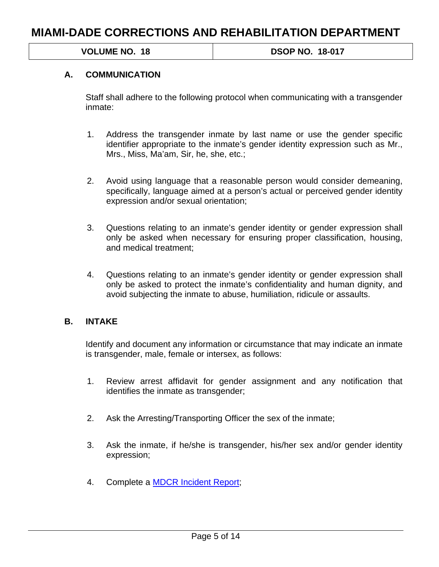**VOLUME NO. 18 DSOP NO. 18-017** 

### **A. COMMUNICATION**

Staff shall adhere to the following protocol when communicating with a transgender inmate:

- 1. Address the transgender inmate by last name or use the gender specific identifier appropriate to the inmate's gender identity expression such as Mr., Mrs., Miss, Ma'am, Sir, he, she, etc.;
- 2. Avoid using language that a reasonable person would consider demeaning, specifically, language aimed at a person's actual or perceived gender identity expression and/or sexual orientation;
- 3. Questions relating to an inmate's gender identity or gender expression shall only be asked when necessary for ensuring proper classification, housing, and medical treatment;
- 4. Questions relating to an inmate's gender identity or gender expression shall only be asked to protect the inmate's confidentiality and human dignity, and avoid subjecting the inmate to abuse, humiliation, ridicule or assaults.

#### **B. INTAKE**

Identify and document any information or circumstance that may indicate an inmate is transgender, male, female or intersex, as follows:

- 1. Review arrest affidavit for gender assignment and any notification that identifies the inmate as transgender;
- 2. Ask the Arresting/Transporting Officer the sex of the inmate;
- 3. Ask the inmate, if he/she is transgender, his/her sex and/or gender identity expression;
- 4. Complete a [MDCR Incident Report;](ftp://crnet/manual/mg-00041.pdf)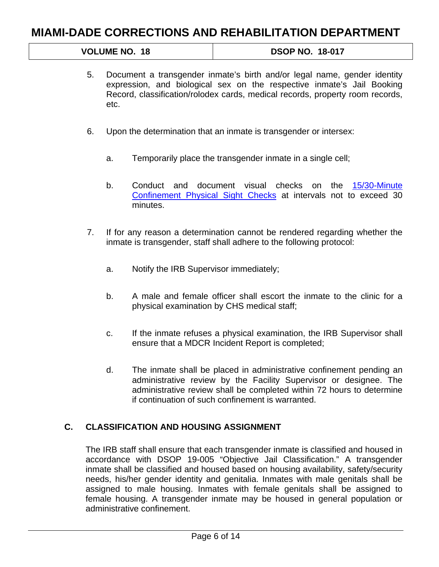# **VOLUME NO. 18 18 18:00 18:00 18:00 18:00 18:00 18:00 18:00 18:00 18:00 18:00 18:00 18:00 18:00 18:00 18:00 18:00 18:00 18:00 18:00 18:00 18:00 18:00 18:00 18:00 18:00 18:00 18:00 18:00 18:00 18:00 18:00 18:00 18:00 18:00**

- 5. Document a transgender inmate's birth and/or legal name, gender identity expression, and biological sex on the respective inmate's Jail Booking Record, classification/rolodex cards, medical records, property room records, etc.
- 6. Upon the determination that an inmate is transgender or intersex:
	- a. Temporarily place the transgender inmate in a single cell;
	- b. Conduct and document visual checks on the [15/30-Minute](ftp://crnet/manual/h-00001.pdf)  [Confinement Physical Sight Checks](ftp://crnet/manual/h-00001.pdf) at intervals not to exceed 30 minutes.
- 7. If for any reason a determination cannot be rendered regarding whether the inmate is transgender, staff shall adhere to the following protocol:
	- a. Notify the IRB Supervisor immediately;
	- b. A male and female officer shall escort the inmate to the clinic for a physical examination by CHS medical staff;
	- c. If the inmate refuses a physical examination, the IRB Supervisor shall ensure that a MDCR Incident Report is completed;
	- d. The inmate shall be placed in administrative confinement pending an administrative review by the Facility Supervisor or designee. The administrative review shall be completed within 72 hours to determine if continuation of such confinement is warranted.

### **C. CLASSIFICATION AND HOUSING ASSIGNMENT**

The IRB staff shall ensure that each transgender inmate is classified and housed in accordance with DSOP 19-005 "Objective Jail Classification." A transgender inmate shall be classified and housed based on housing availability, safety/security needs, his/her gender identity and genitalia. Inmates with male genitals shall be assigned to male housing. Inmates with female genitals shall be assigned to female housing. A transgender inmate may be housed in general population or administrative confinement.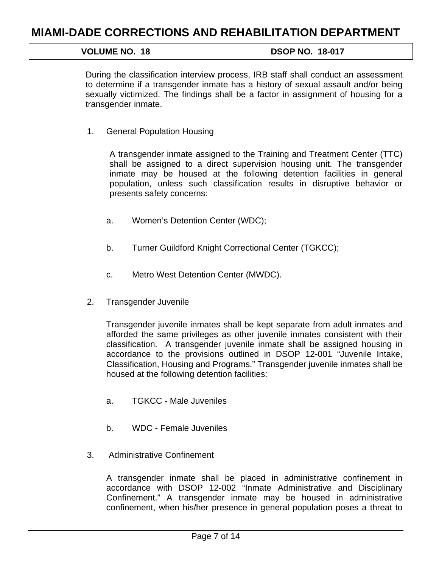| <b>VOLUME NO. 18</b> | <b>DSOP NO. 18-017</b> |
|----------------------|------------------------|
|                      |                        |

During the classification interview process, IRB staff shall conduct an assessment to determine if a transgender inmate has a history of sexual assault and/or being sexually victimized. The findings shall be a factor in assignment of housing for a transgender inmate.

1. General Population Housing

A transgender inmate assigned to the Training and Treatment Center (TTC) shall be assigned to a direct supervision housing unit. The transgender inmate may be housed at the following detention facilities in general population, unless such classification results in disruptive behavior or presents safety concerns:

- a. Women's Detention Center (WDC);
- b. Turner Guildford Knight Correctional Center (TGKCC);
- c. Metro West Detention Center (MWDC).
- 2. Transgender Juvenile

Transgender juvenile inmates shall be kept separate from adult inmates and afforded the same privileges as other juvenile inmates consistent with their classification. A transgender juvenile inmate shall be assigned housing in accordance to the provisions outlined in DSOP 12-001 "Juvenile Intake, Classification, Housing and Programs." Transgender juvenile inmates shall be housed at the following detention facilities:

- a. TGKCC Male Juveniles
- b. WDC Female Juveniles
- 3. Administrative Confinement

A transgender inmate shall be placed in administrative confinement in accordance with DSOP 12-002 "Inmate Administrative and Disciplinary Confinement." A transgender inmate may be housed in administrative confinement, when his/her presence in general population poses a threat to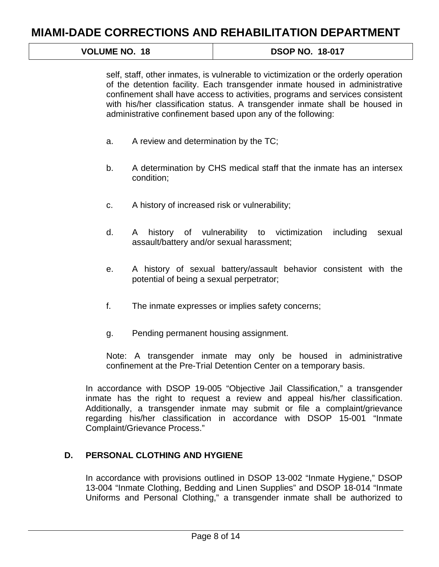| <b>DSOP NO. 18-017</b> |
|------------------------|
|                        |

self, staff, other inmates, is vulnerable to victimization or the orderly operation of the detention facility. Each transgender inmate housed in administrative confinement shall have access to activities, programs and services consistent with his/her classification status. A transgender inmate shall be housed in administrative confinement based upon any of the following:

- a. A review and determination by the TC;
- b. A determination by CHS medical staff that the inmate has an intersex condition;
- c. A history of increased risk or vulnerability;
- d. A history of vulnerability to victimization including sexual assault/battery and/or sexual harassment;
- e. A history of sexual battery/assault behavior consistent with the potential of being a sexual perpetrator;
- f. The inmate expresses or implies safety concerns;
- g. Pending permanent housing assignment.

Note: A transgender inmate may only be housed in administrative confinement at the Pre-Trial Detention Center on a temporary basis.

In accordance with DSOP 19-005 "Objective Jail Classification," a transgender inmate has the right to request a review and appeal his/her classification. Additionally, a transgender inmate may submit or file a complaint/grievance regarding his/her classification in accordance with DSOP 15-001 "Inmate Complaint/Grievance Process."

#### **D. PERSONAL CLOTHING AND HYGIENE**

In accordance with provisions outlined in DSOP 13-002 "Inmate Hygiene," DSOP 13-004 "Inmate Clothing, Bedding and Linen Supplies" and DSOP 18-014 "Inmate Uniforms and Personal Clothing," a transgender inmate shall be authorized to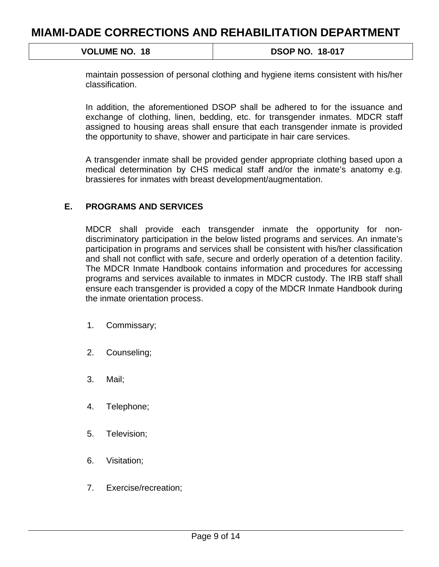**VOLUME NO. 18 18 18:00 18:00 18:00 18:00 18:00 18:00 18:00 18:00 18:00 18:00 18:00 18:00 18:00 18:00 18:00 18:00 18:00 18:00 18:00 18:00 18:00 18:00 18:00 18:00 18:00 18:00 18:00 18:00 18:00 18:00 18:00 18:00 18:00 18:00** 

maintain possession of personal clothing and hygiene items consistent with his/her classification.

In addition, the aforementioned DSOP shall be adhered to for the issuance and exchange of clothing, linen, bedding, etc. for transgender inmates. MDCR staff assigned to housing areas shall ensure that each transgender inmate is provided the opportunity to shave, shower and participate in hair care services.

A transgender inmate shall be provided gender appropriate clothing based upon a medical determination by CHS medical staff and/or the inmate's anatomy e.g. brassieres for inmates with breast development/augmentation.

### **E. PROGRAMS AND SERVICES**

MDCR shall provide each transgender inmate the opportunity for nondiscriminatory participation in the below listed programs and services. An inmate's participation in programs and services shall be consistent with his/her classification and shall not conflict with safe, secure and orderly operation of a detention facility. The MDCR Inmate Handbook contains information and procedures for accessing programs and services available to inmates in MDCR custody. The IRB staff shall ensure each transgender is provided a copy of the MDCR Inmate Handbook during the inmate orientation process.

- 1. Commissary;
- 2. Counseling;
- 3. Mail;
- 4. Telephone;
- 5. Television;
- 6. Visitation;
- 7. Exercise/recreation;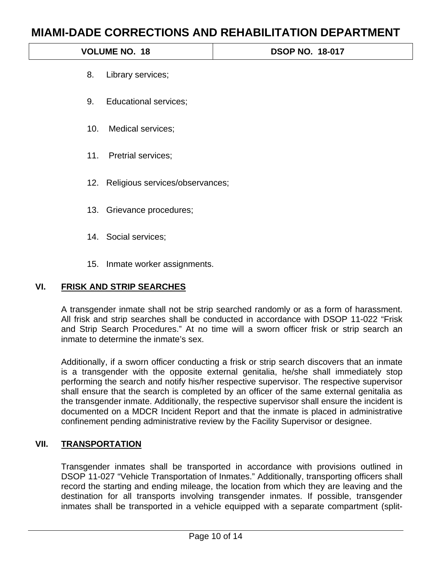|     |                                     | MIAMI-DADE CORRECTIONS AND REHABILITATION DEPARTMENT |
|-----|-------------------------------------|------------------------------------------------------|
|     | <b>VOLUME NO. 18</b>                | <b>DSOP NO. 18-017</b>                               |
| 8.  | Library services;                   |                                                      |
| 9.  | <b>Educational services;</b>        |                                                      |
| 10. | Medical services;                   |                                                      |
|     | 11. Pretrial services;              |                                                      |
|     | 12. Religious services/observances; |                                                      |
|     | 13. Grievance procedures;           |                                                      |
|     | 14. Social services;                |                                                      |
|     | 15. Inmate worker assignments.      |                                                      |
| VI. | <b>FRISK AND STRIP SEARCHES</b>     |                                                      |
|     |                                     |                                                      |

A transgender inmate shall not be strip searched randomly or as a form of harassment. All frisk and strip searches shall be conducted in accordance with DSOP 11-022 "Frisk and Strip Search Procedures." At no time will a sworn officer frisk or strip search an inmate to determine the inmate's sex.

Additionally, if a sworn officer conducting a frisk or strip search discovers that an inmate is a transgender with the opposite external genitalia, he/she shall immediately stop performing the search and notify his/her respective supervisor. The respective supervisor shall ensure that the search is completed by an officer of the same external genitalia as the transgender inmate. Additionally, the respective supervisor shall ensure the incident is documented on a MDCR Incident Report and that the inmate is placed in administrative confinement pending administrative review by the Facility Supervisor or designee.

### **VII. TRANSPORTATION**

Transgender inmates shall be transported in accordance with provisions outlined in DSOP 11-027 "Vehicle Transportation of Inmates." Additionally, transporting officers shall record the starting and ending mileage, the location from which they are leaving and the destination for all transports involving transgender inmates. If possible, transgender inmates shall be transported in a vehicle equipped with a separate compartment (split-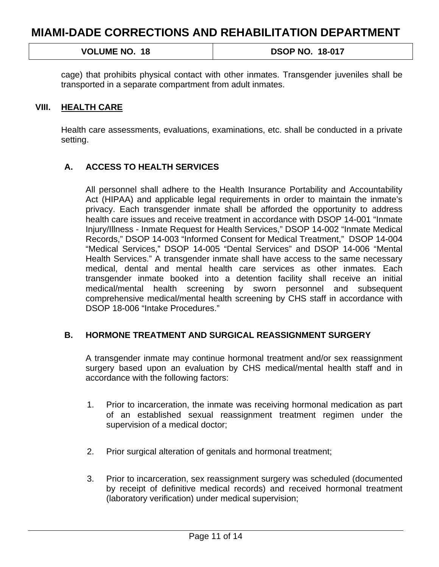| <b>VOLUME NO.</b><br>. 18 | <b>DSOP NO. 18-017</b> |
|---------------------------|------------------------|
|                           |                        |

cage) that prohibits physical contact with other inmates. Transgender juveniles shall be transported in a separate compartment from adult inmates.

#### **VIII. HEALTH CARE**

Health care assessments, evaluations, examinations, etc. shall be conducted in a private setting.

#### **A. ACCESS TO HEALTH SERVICES**

All personnel shall adhere to the Health Insurance Portability and Accountability Act (HIPAA) and applicable legal requirements in order to maintain the inmate's privacy. Each transgender inmate shall be afforded the opportunity to address health care issues and receive treatment in accordance with DSOP 14-001 "Inmate Injury/Illness - Inmate Request for Health Services," DSOP 14-002 "Inmate Medical Records," DSOP 14-003 "Informed Consent for Medical Treatment," DSOP 14-004 "Medical Services," DSOP 14-005 "Dental Services" and DSOP 14-006 "Mental Health Services." A transgender inmate shall have access to the same necessary medical, dental and mental health care services as other inmates. Each transgender inmate booked into a detention facility shall receive an initial medical/mental health screening by sworn personnel and subsequent comprehensive medical/mental health screening by CHS staff in accordance with DSOP 18-006 "Intake Procedures."

#### **B. HORMONE TREATMENT AND SURGICAL REASSIGNMENT SURGERY**

A transgender inmate may continue hormonal treatment and/or sex reassignment surgery based upon an evaluation by CHS medical/mental health staff and in accordance with the following factors:

- 1. Prior to incarceration, the inmate was receiving hormonal medication as part of an established sexual reassignment treatment regimen under the supervision of a medical doctor;
- 2. Prior surgical alteration of genitals and hormonal treatment;
- 3. Prior to incarceration, sex reassignment surgery was scheduled (documented by receipt of definitive medical records) and received hormonal treatment (laboratory verification) under medical supervision;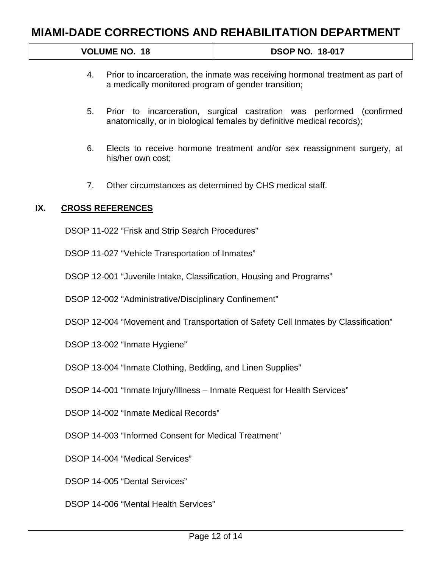| <b>DSOP NO. 18-017</b><br><b>VOLUME NO.</b><br>. 18 |
|-----------------------------------------------------|
|-----------------------------------------------------|

- 4. Prior to incarceration, the inmate was receiving hormonal treatment as part of a medically monitored program of gender transition;
- 5. Prior to incarceration, surgical castration was performed (confirmed anatomically, or in biological females by definitive medical records);
- 6. Elects to receive hormone treatment and/or sex reassignment surgery, at his/her own cost;
- 7. Other circumstances as determined by CHS medical staff.

### **IX. CROSS REFERENCES**

DSOP 11-022 "Frisk and Strip Search Procedures"

DSOP 11-027 "Vehicle Transportation of Inmates"

DSOP 12-001 "Juvenile Intake, Classification, Housing and Programs"

DSOP 12-002 "Administrative/Disciplinary Confinement"

DSOP 12-004 "Movement and Transportation of Safety Cell Inmates by Classification"

DSOP 13-002 "Inmate Hygiene"

DSOP 13-004 "Inmate Clothing, Bedding, and Linen Supplies"

DSOP 14-001 "Inmate Injury/Illness – Inmate Request for Health Services"

DSOP 14-002 "Inmate Medical Records"

DSOP 14-003 "Informed Consent for Medical Treatment"

DSOP 14-004 "Medical Services"

DSOP 14-005 "Dental Services"

DSOP 14-006 "Mental Health Services"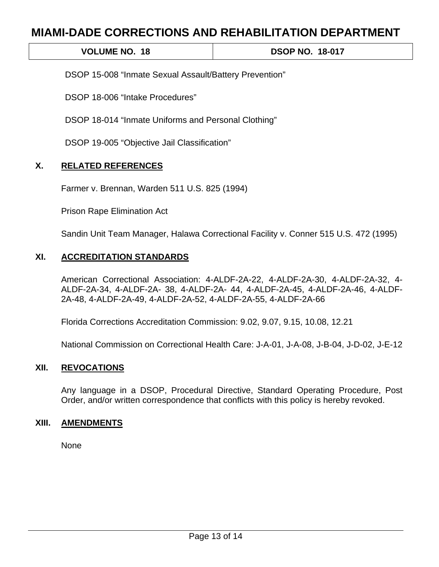**VOLUME NO. 18 18 18:00 18:00 18:00 18:00 18:00 18:00 18:00 18:00 18:00 18:00 18:00 18:00 18:00 18:00 18:00 18:00 18:00 18:00 18:00 18:00 18:00 18:00 18:00 18:00 18:00 18:00 18:00 18:00 18:00 18:00 18:00 18:00 18:00 18:00** 

DSOP 15-008 "Inmate Sexual Assault/Battery Prevention"

DSOP 18-006 "Intake Procedures"

DSOP 18-014 "Inmate Uniforms and Personal Clothing"

DSOP 19-005 "Objective Jail Classification"

### **X. RELATED REFERENCES**

Farmer v. Brennan, Warden 511 U.S. 825 (1994)

Prison Rape Elimination Act

Sandin Unit Team Manager, Halawa Correctional Facility v. Conner 515 U.S. 472 (1995)

### **XI. ACCREDITATION STANDARDS**

American Correctional Association: 4-ALDF-2A-22, 4-ALDF-2A-30, 4-ALDF-2A-32, 4- ALDF-2A-34, 4-ALDF-2A- 38, 4-ALDF-2A- 44, 4-ALDF-2A-45, 4-ALDF-2A-46, 4-ALDF-2A-48, 4-ALDF-2A-49, 4-ALDF-2A-52, 4-ALDF-2A-55, 4-ALDF-2A-66

Florida Corrections Accreditation Commission: 9.02, 9.07, 9.15, 10.08, 12.21

National Commission on Correctional Health Care: J-A-01, J-A-08, J-B-04, J-D-02, J-E-12

### **XII. REVOCATIONS**

Any language in a DSOP, Procedural Directive, Standard Operating Procedure, Post Order, and/or written correspondence that conflicts with this policy is hereby revoked.

#### **XIII. AMENDMENTS**

None